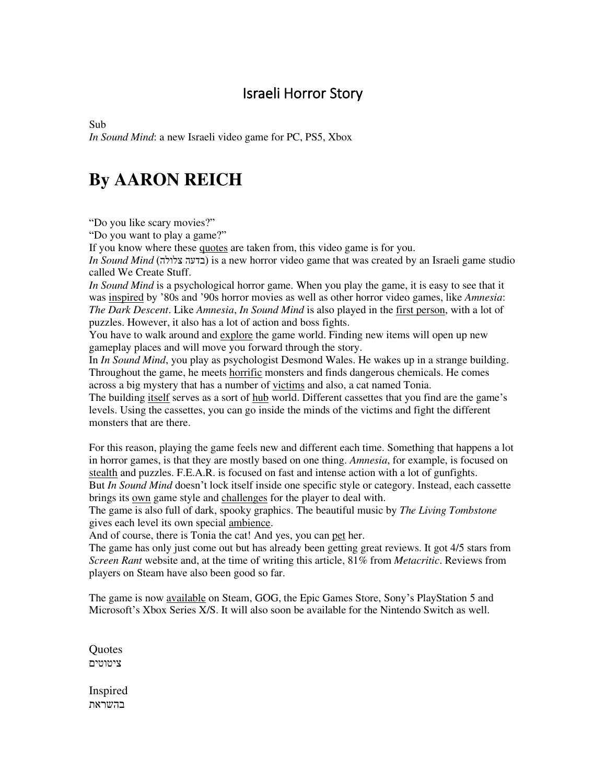## Israeli Horror Story

Sub *In Sound Mind*: a new Israeli video game for PC, PS5, Xbox

## **By AARON REICH**

"Do you like scary movies?"

"Do you want to play a game?"

If you know where these quotes are taken from, this video game is for you.

*In Sound Mind* (בדעה צלולה) is a new horror video game that was created by an Israeli game studio called We Create Stuff.

*In Sound Mind* is a psychological horror game. When you play the game, it is easy to see that it was inspired by '80s and '90s horror movies as well as other horror video games, like *Amnesia*: *The Dark Descent*. Like *Amnesia*, *In Sound Mind* is also played in the first person, with a lot of puzzles. However, it also has a lot of action and boss fights.

You have to walk around and explore the game world. Finding new items will open up new gameplay places and will move you forward through the story.

In *In Sound Mind*, you play as psychologist Desmond Wales. He wakes up in a strange building. Throughout the game, he meets horrific monsters and finds dangerous chemicals. He comes across a big mystery that has a number of victims and also, a cat named Tonia.

The building itself serves as a sort of hub world. Different cassettes that you find are the game's levels. Using the cassettes, you can go inside the minds of the victims and fight the different monsters that are there.

For this reason, playing the game feels new and different each time. Something that happens a lot in horror games, is that they are mostly based on one thing. *Amnesia*, for example, is focused on stealth and puzzles. F.E.A.R. is focused on fast and intense action with a lot of gunfights. But *In Sound Mind* doesn't lock itself inside one specific style or category. Instead, each cassette

brings its own game style and challenges for the player to deal with. The game is also full of dark, spooky graphics. The beautiful music by *The Living Tombstone*

gives each level its own special ambience.

And of course, there is Tonia the cat! And yes, you can pet her.

The game has only just come out but has already been getting great reviews. It got 4/5 stars from *Screen Rant* website and, at the time of writing this article, 81% from *Metacritic*. Reviews from players on Steam have also been good so far.

The game is now available on Steam, GOG, the Epic Games Store, Sony's PlayStation 5 and Microsoft's Xbox Series X/S. It will also soon be available for the Nintendo Switch as well.

**Ouotes** ציטוטים

Inspired בהשראת